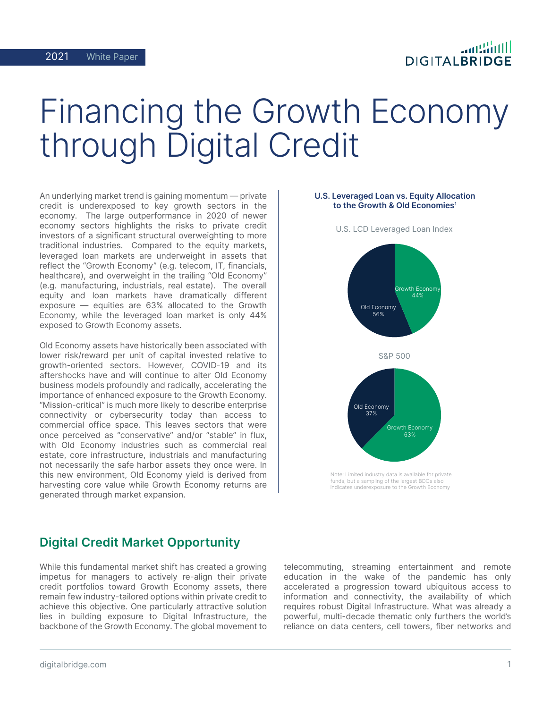## **DIGITALBRIDGE**

# Financing the Growth Economy through Digital Credit

An underlying market trend is gaining momentum — private credit is underexposed to key growth sectors in the economy. The large outperformance in 2020 of newer economy sectors highlights the risks to private credit investors of a significant structural overweighting to more traditional industries. Compared to the equity markets, leveraged loan markets are underweight in assets that reflect the "Growth Economy" (e.g. telecom, IT, financials, healthcare), and overweight in the trailing "Old Economy" (e.g. manufacturing, industrials, real estate). The overall equity and loan markets have dramatically different exposure — equities are 63% allocated to the Growth Economy, while the leveraged loan market is only 44% exposed to Growth Economy assets.

Old Economy assets have historically been associated with lower risk/reward per unit of capital invested relative to growth-oriented sectors. However, COVID-19 and its aftershocks have and will continue to alter Old Economy business models profoundly and radically, accelerating the importance of enhanced exposure to the Growth Economy. "Mission-critical" is much more likely to describe enterprise connectivity or cybersecurity today than access to commercial office space. This leaves sectors that were once perceived as "conservative" and/or "stable" in flux, with Old Economy industries such as commercial real estate, core infrastructure, industrials and manufacturing not necessarily the safe harbor assets they once were. In this new environment, Old Economy yield is derived from harvesting core value while Growth Economy returns are generated through market expansion.

#### U.S. Leveraged Loan vs. Equity Allocation to the Growth & Old Economies<sup>1</sup>



U.S. LCD Leveraged Loan Index

## Digital Credit Market Opportunity

While this fundamental market shift has created a growing impetus for managers to actively re-align their private credit portfolios toward Growth Economy assets, there remain few industry-tailored options within private credit to achieve this objective. One particularly attractive solution lies in building exposure to Digital Infrastructure, the backbone of the Growth Economy. The global movement to

telecommuting, streaming entertainment and remote education in the wake of the pandemic has only accelerated a progression toward ubiquitous access to information and connectivity, the availability of which requires robust Digital Infrastructure. What was already a powerful, multi-decade thematic only furthers the world's reliance on data centers, cell towers, fiber networks and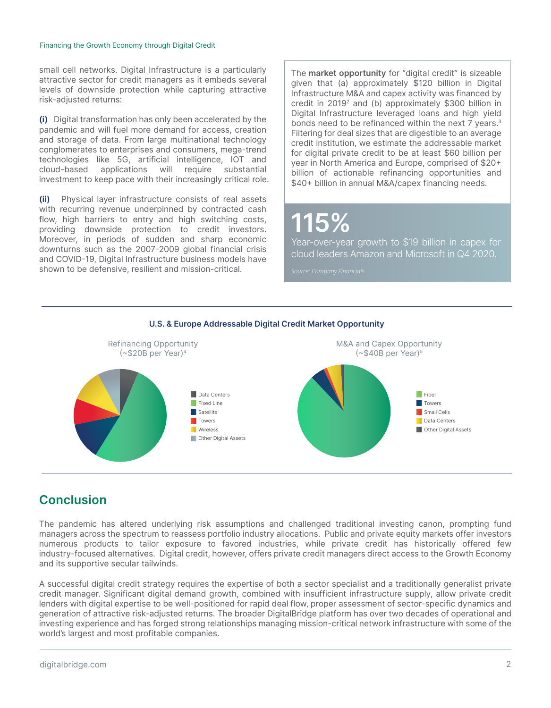#### Financing the Growth Economy through Digital Credit

small cell networks. Digital Infrastructure is a particularly attractive sector for credit managers as it embeds several levels of downside protection while capturing attractive risk-adjusted returns:

(i) Digital transformation has only been accelerated by the pandemic and will fuel more demand for access, creation and storage of data. From large multinational technology conglomerates to enterprises and consumers, mega-trend technologies like 5G, artificial intelligence, IOT and cloud-based applications will require substantial investment to keep pace with their increasingly critical role.

(ii) Physical layer infrastructure consists of real assets with recurring revenue underpinned by contracted cash flow, high barriers to entry and high switching costs, providing downside protection to credit investors. Moreover, in periods of sudden and sharp economic downturns such as the 2007-2009 global financial crisis and COVID-19, Digital Infrastructure business models have shown to be defensive, resilient and mission-critical.

The market opportunity for "digital credit" is sizeable given that (a) approximately \$120 billion in Digital Infrastructure M&A and capex activity was financed by credit in 20192 and (b) approximately \$300 billion in Digital Infrastructure leveraged loans and high yield bonds need to be refinanced within the next 7 years.<sup>3</sup> Filtering for deal sizes that are digestible to an average credit institution, we estimate the addressable market for digital private credit to be at least \$60 billion per year in North America and Europe, comprised of \$20+ billion of actionable refinancing opportunities and \$40+ billion in annual M&A/capex financing needs.

## 115%

Year-over-year growth to \$19 billion in capex for cloud leaders Amazon and Microsoft in Q4 2020.



### U.S. & Europe Addressable Digital Credit Market Opportunity

## **Conclusion**

The pandemic has altered underlying risk assumptions and challenged traditional investing canon, prompting fund managers across the spectrum to reassess portfolio industry allocations. Public and private equity markets offer investors numerous products to tailor exposure to favored industries, while private credit has historically offered few industry-focused alternatives. Digital credit, however, offers private credit managers direct access to the Growth Economy and its supportive secular tailwinds.

A successful digital credit strategy requires the expertise of both a sector specialist and a traditionally generalist private credit manager. Significant digital demand growth, combined with insufficient infrastructure supply, allow private credit lenders with digital expertise to be well-positioned for rapid deal flow, proper assessment of sector-specific dynamics and generation of attractive risk-adjusted returns. The broader DigitalBridge platform has over two decades of operational and investing experience and has forged strong relationships managing mission-critical network infrastructure with some of the world's largest and most profitable companies.